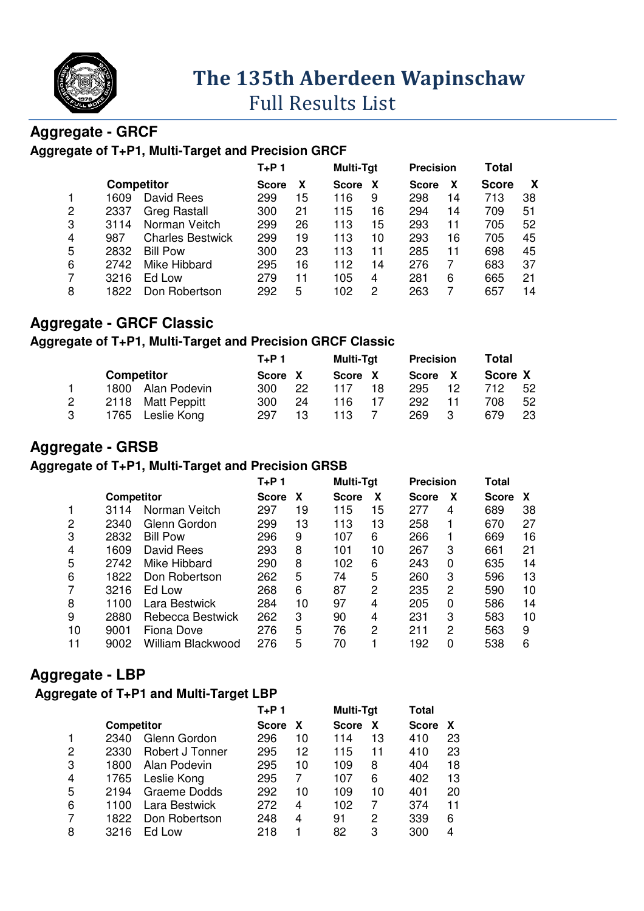

# **The 135 135th Aberdeen Wapinschaw**

# Full Results List

## **Aggregate - GRCF**

#### **Aggregate of T+P1, Multi-Target and Precision GRCF Target**

|   |      |                         | $T+P$ 1      |    | <b>Multi-Tgt</b> |                | <b>Precision</b> |    | <b>Total</b> |    |
|---|------|-------------------------|--------------|----|------------------|----------------|------------------|----|--------------|----|
|   |      | <b>Competitor</b>       | <b>Score</b> | X  | <b>Score</b>     | X              | <b>Score</b>     | х  | <b>Score</b> | X  |
|   | 1609 | David Rees              | 299          | 15 | 116              | 9              | 298              | 14 | 713          | 38 |
| 2 | 2337 | <b>Greg Rastall</b>     | 300          | 21 | 115              | 16             | 294              | 14 | 709          | 51 |
| 3 | 3114 | Norman Veitch           | 299          | 26 | 113              | 15             | 293              | 11 | 705          | 52 |
| 4 | 987  | <b>Charles Bestwick</b> | 299          | 19 | 113              | 10             | 293              | 16 | 705          | 45 |
| 5 | 2832 | <b>Bill Pow</b>         | 300          | 23 | 113              | 11             | 285              | 11 | 698          | 45 |
| 6 | 2742 | Mike Hibbard            | 295          | 16 | 112              | 14             | 276              |    | 683          | 37 |
|   | 3216 | Ed Low                  | 279          | 11 | 105              | $\overline{4}$ | 281              | 6  | 665          | 21 |
| 8 | 1822 | Don Robertson           | 292          | 5  | 102              | 2              | 263              |    | 657          | 14 |
|   |      |                         |              |    |                  |                |                  |    |              |    |

## **Aggregate - GRCF Classic**

#### Aggregate of T+P1, Multi-Target and Precision GRCF Classic

|  |                   |                     | $T+P$ 1 |    | <b>Multi-Tgt</b> |    | <b>Precision</b> |    | Total   |    |
|--|-------------------|---------------------|---------|----|------------------|----|------------------|----|---------|----|
|  | <b>Competitor</b> |                     | Score X |    | <b>Score</b>     |    | Score X          |    | Score X |    |
|  | 1800              | Alan Podevin        | 300     | 22 | 117              | 18 | 295              | 12 | 712     | 52 |
|  | 2118              | <b>Matt Peppitt</b> | 300     | 24 | 116              |    | 292              |    | 708     | 52 |
|  | 1765              | Leslie Kong         | 297     | 13 | 113              |    | 269              | -3 | 679     | 23 |

#### **Aggregate - GRSB**

#### **Aggregate of T+P1, Multi-Target and Precision GRSB**

|      |                   | T+P 1             |    |              |    |              |   | Total            |    |
|------|-------------------|-------------------|----|--------------|----|--------------|---|------------------|----|
|      |                   | <b>Score</b>      | X  | <b>Score</b> | x  | <b>Score</b> | X | <b>Score</b>     | X  |
| 3114 | Norman Veitch     | 297               | 19 | 115          | 15 | 277          | 4 | 689              | 38 |
| 2340 | Glenn Gordon      | 299               | 13 | 113          | 13 | 258          |   | 670              | 27 |
| 2832 | <b>Bill Pow</b>   | 296               | 9  | 107          | 6  | 266          |   | 669              | 16 |
| 1609 | David Rees        | 293               | 8  | 101          | 10 | 267          | 3 | 661              | 21 |
| 2742 | Mike Hibbard      | 290               | 8  | 102          | 6  | 243          | 0 | 635              | 14 |
| 1822 | Don Robertson     | 262               | 5  | 74           | 5  | 260          | 3 | 596              | 13 |
| 3216 | Ed Low            | 268               | 6  | 87           | 2  | 235          | 2 | 590              | 10 |
| 1100 | Lara Bestwick     | 284               | 10 | 97           | 4  | 205          | 0 | 586              | 14 |
| 2880 | Rebecca Bestwick  | 262               | 3  | 90           | 4  | 231          | 3 | 583              | 10 |
| 9001 | Fiona Dove        | 276               | 5  | 76           | 2  | 211          | 2 | 563              | 9  |
| 9002 | William Blackwood | 276               | 5  | 70           |    | 192          | 0 | 538              | 6  |
|      |                   | <b>Competitor</b> |    |              |    | Multi-Tgt    |   | <b>Precision</b> |    |

#### **Aggregate - LBP**

#### **Aggregate of T+P1 and Multi-Target LBP Target**

|   |            |                 | $T+P$ 1      |    | Multi-Tgt    |    | Total        |    |
|---|------------|-----------------|--------------|----|--------------|----|--------------|----|
|   | Competitor |                 | <b>Score</b> | X  | <b>Score</b> | X  | <b>Score</b> | X  |
|   | 2340       | Glenn Gordon    | 296          | 10 | 114          | 13 | 410          | 23 |
| 2 | 2330       | Robert J Tonner | 295          | 12 | 115          | 11 | 410          | 23 |
| 3 | 1800       | Alan Podevin    | 295          | 10 | 109          | 8  | 404          | 18 |
| 4 | 1765       | Leslie Kong     | 295          |    | 107          | 6  | 402          | 13 |
| 5 | 2194       | Graeme Dodds    | 292          | 10 | 109          | 10 | 401          | 20 |
| 6 | 1100       | Lara Bestwick   | 272          | 4  | 102          |    | 374          | 11 |
| 7 | 1822       | Don Robertson   | 248          | 4  | 91           | 2  | 339          | 6  |
| 8 | 3216       | Ed Low          | 218          |    | 82           | 3  | 300          | 4  |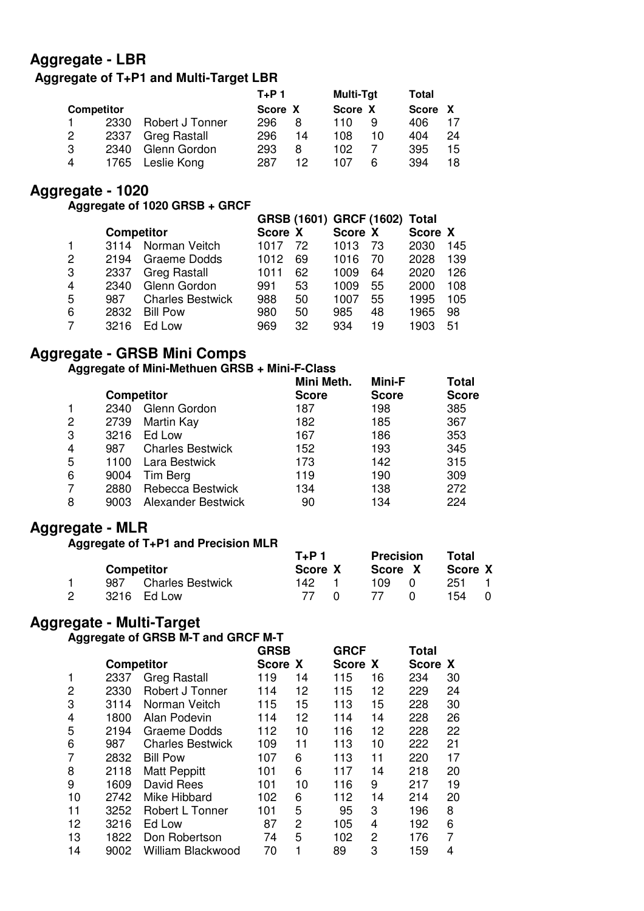## **Aggregate - LBR**

# **Aggregate of T+P1 and Multi-Target LBR**

|                   | $T+P1$ |                 | <b>Multi-Tgt</b> |    | Total   |    |         |    |
|-------------------|--------|-----------------|------------------|----|---------|----|---------|----|
| <b>Competitor</b> |        |                 | Score X          |    | Score X |    | Score X |    |
|                   | 2330   | Robert J Tonner | 296              | 8  | 110     | 9  | 406     |    |
| 2                 | 2337   | Greg Rastall    | 296              | 14 | 108     | 10 | 404     | 24 |
| 3                 | 2340   | Glenn Gordon    | 293              | 8  | 102     |    | 395     | 15 |
| 4                 | 1765   | Leslie Kong     | 287              | 12 | 107     | 6  | 394     | 18 |

## **Aggregate - 1020**

**Aggregate of 1020 GRSB + GRCF** 

|   |      |                         |                   |    |         |    | Score X |                               |
|---|------|-------------------------|-------------------|----|---------|----|---------|-------------------------------|
|   | 3114 | Norman Veitch           | 1017              | 72 | 1013    | 73 | 2030    | 145                           |
| 2 | 2194 | Graeme Dodds            | 1012              | 69 | 1016    | 70 | 2028    | 139                           |
| 3 | 2337 | <b>Greg Rastall</b>     | 1011              | 62 | 1009    | 64 | 2020    | 126                           |
| 4 | 2340 | Glenn Gordon            | 991               | 53 | 1009    | 55 | 2000    | 108                           |
| 5 | 987  | <b>Charles Bestwick</b> | 988               | 50 | 1007    | 55 | 1995    | 105                           |
| 6 | 2832 | <b>Bill Pow</b>         | 980               | 50 | 985     | 48 | 1965    | 98                            |
| 7 | 3216 | Ed Low                  | 969               | 32 | 934     | 19 | 1903    | 51                            |
|   |      |                         | <b>Competitor</b> |    | Score X |    | Score X | GRSB (1601) GRCF (1602) Total |

# **Aggregate - GRSB Mini Comps**

#### **Aggregate of Mini-Methuen GRSB + Mini-F-Class**

|   |      |                           | Mini Meth.   | Mini-F       | Total        |
|---|------|---------------------------|--------------|--------------|--------------|
|   |      | <b>Competitor</b>         | <b>Score</b> | <b>Score</b> | <b>Score</b> |
|   | 2340 | Glenn Gordon              | 187          | 198          | 385          |
| 2 | 2739 | Martin Kay                | 182          | 185          | 367          |
| 3 | 3216 | Ed Low                    | 167          | 186          | 353          |
| 4 | 987  | <b>Charles Bestwick</b>   | 152          | 193          | 345          |
| 5 | 1100 | Lara Bestwick             | 173          | 142          | 315          |
| 6 | 9004 | Tim Berg                  | 119          | 190          | 309          |
| 7 | 2880 | Rebecca Bestwick          | 134          | 138          | 272          |
| 8 | 9003 | <b>Alexander Bestwick</b> | 90           | 134          | 224          |

# **Aggregate - MLR**

| .                 |      | Aggregate of T+P1 and Precision MLR |       |         |                  |         |  |
|-------------------|------|-------------------------------------|-------|---------|------------------|---------|--|
|                   |      |                                     | T+P 1 |         | <b>Precision</b> | Total   |  |
| <b>Competitor</b> |      |                                     |       | Score X | Score X          | Score X |  |
|                   | 987  | <b>Charles Bestwick</b>             | 142.  |         | 109              | 251     |  |
|                   | 3216 | Ed Low                              | 77    |         |                  | 154     |  |

#### **Aggregate - Multi-Target**

#### **Aggregate of GRSB M-T and GRCF M-T**

|    |                   |                         | <b>GRSB</b> |    | <b>GRCF</b> |    | Total   |    |
|----|-------------------|-------------------------|-------------|----|-------------|----|---------|----|
|    | <b>Competitor</b> |                         | Score X     |    | Score X     |    | Score X |    |
| 1  | 2337              | <b>Greg Rastall</b>     | 119         | 14 | 115         | 16 | 234     | 30 |
| 2  | 2330              | Robert J Tonner         | 114         | 12 | 115         | 12 | 229     | 24 |
| 3  | 3114              | Norman Veitch           | 115         | 15 | 113         | 15 | 228     | 30 |
| 4  | 1800              | Alan Podevin            | 114         | 12 | 114         | 14 | 228     | 26 |
| 5  | 2194              | Graeme Dodds            | 112         | 10 | 116         | 12 | 228     | 22 |
| 6  | 987               | <b>Charles Bestwick</b> | 109         | 11 | 113         | 10 | 222     | 21 |
| 7  | 2832              | <b>Bill Pow</b>         | 107         | 6  | 113         | 11 | 220     | 17 |
| 8  | 2118              | <b>Matt Peppitt</b>     | 101         | 6  | 117         | 14 | 218     | 20 |
| 9  | 1609              | David Rees              | 101         | 10 | 116         | 9  | 217     | 19 |
| 10 | 2742              | Mike Hibbard            | 102         | 6  | 112         | 14 | 214     | 20 |
| 11 | 3252              | Robert L Tonner         | 101         | 5  | 95          | 3  | 196     | 8  |
| 12 | 3216              | Ed Low                  | 87          | 2  | 105         | 4  | 192     | 6  |
| 13 | 1822              | Don Robertson           | 74          | 5  | 102         | 2  | 176     | 7  |
| 14 | 9002              | William Blackwood       | 70          |    | 89          | 3  | 159     | 4  |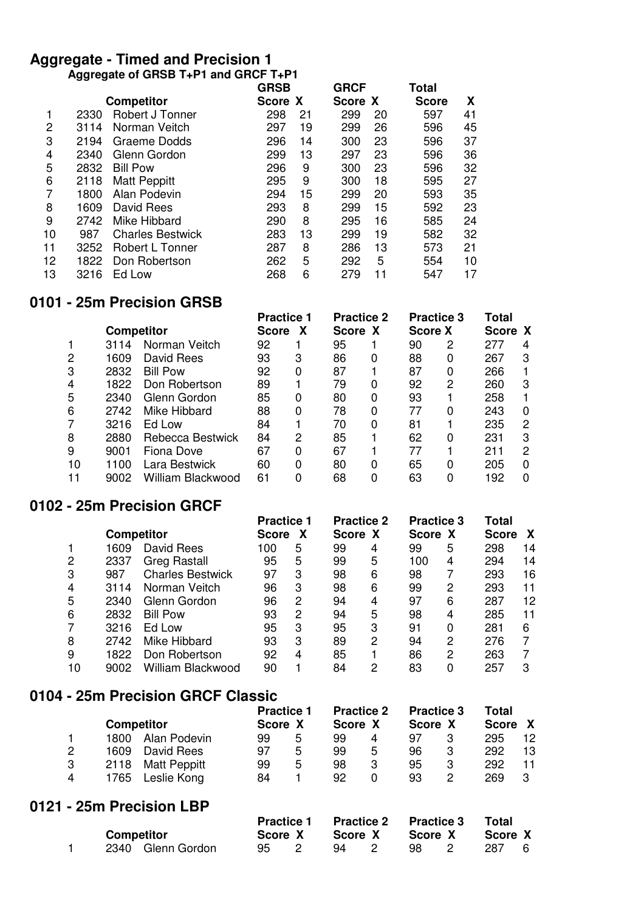#### **Aggregate - Timed and Precision 1 Aggregate of GRSB T+P1 and GRCF T+P1**

|      |                         | <b>GRSB</b>       |    | <b>GRCF</b> |    | Total        |    |
|------|-------------------------|-------------------|----|-------------|----|--------------|----|
|      |                         |                   |    |             |    | <b>Score</b> | X  |
| 2330 | Robert J Tonner         | 298               | 21 | 299         | 20 | 597          | 41 |
| 3114 | Norman Veitch           | 297               | 19 | 299         | 26 | 596          | 45 |
| 2194 | Graeme Dodds            | 296               | 14 | 300         | 23 | 596          | 37 |
| 2340 | Glenn Gordon            | 299               | 13 | 297         | 23 | 596          | 36 |
| 2832 | <b>Bill Pow</b>         | 296               | 9  | 300         | 23 | 596          | 32 |
| 2118 | <b>Matt Peppitt</b>     | 295               | 9  | 300         | 18 | 595          | 27 |
| 1800 | Alan Podevin            | 294               | 15 | 299         | 20 | 593          | 35 |
| 1609 | David Rees              | 293               | 8  | 299         | 15 | 592          | 23 |
| 2742 | Mike Hibbard            | 290               | 8  | 295         | 16 | 585          | 24 |
| 987  | <b>Charles Bestwick</b> | 283               | 13 | 299         | 19 | 582          | 32 |
| 3252 | <b>Robert L Tonner</b>  | 287               | 8  | 286         | 13 | 573          | 21 |
| 1822 | Don Robertson           | 262               | 5  | 292         | 5  | 554          | 10 |
| 3216 | Ed Low                  | 268               | 6  | 279         | 11 | 547          | 17 |
|      |                         | <b>Competitor</b> |    | Score X     |    | Score X      |    |

# **0101 - 25m Precision GRSB**

|    |      | <b>Competitor</b> |    | <b>Practice 1</b><br>X<br><b>Score</b> |    | <b>Practice 2</b><br>Score X |    | <b>Practice 3</b><br><b>Score X</b> |     | Score X      |
|----|------|-------------------|----|----------------------------------------|----|------------------------------|----|-------------------------------------|-----|--------------|
|    | 3114 | Norman Veitch     | 92 |                                        | 95 |                              | 90 | 2                                   | 277 | 4            |
| 2  | 1609 | David Rees        | 93 | 3                                      | 86 |                              | 88 | 0                                   | 267 | З            |
| 3  | 2832 | <b>Bill Pow</b>   | 92 | 0                                      | 87 |                              | 87 | 0                                   | 266 |              |
| 4  | 1822 | Don Robertson     | 89 |                                        | 79 |                              | 92 | 2                                   | 260 | З            |
| 5  | 2340 | Glenn Gordon      | 85 | 0                                      | 80 |                              | 93 |                                     | 258 |              |
| 6  | 2742 | Mike Hibbard      | 88 | 0                                      | 78 | 0                            | 77 | 0                                   | 243 | 0            |
|    | 3216 | Ed Low            | 84 |                                        | 70 | 0                            | 81 |                                     | 235 | 2            |
| 8  | 2880 | Rebecca Bestwick  | 84 | 2                                      | 85 |                              | 62 | 0                                   | 231 | З            |
| 9  | 9001 | Fiona Dove        | 67 | 0                                      | 67 |                              | 77 |                                     | 211 | 2            |
| 10 | 1100 | Lara Bestwick     | 60 | 0                                      | 80 |                              | 65 | 0                                   | 205 | <sup>0</sup> |
| 11 | 9002 | William Blackwood | 61 |                                        | 68 |                              | 63 | 0                                   | 192 |              |

#### **0102 - 25m Precision GRCF**

|   |    |                   |                          | <b>Practice 1</b> |   | <b>Practice 2</b> |   | <b>Practice 3</b> |   | Total        |    |
|---|----|-------------------|--------------------------|-------------------|---|-------------------|---|-------------------|---|--------------|----|
|   |    | <b>Competitor</b> |                          | <b>Score</b>      | X | Score X           |   | Score X           |   | <b>Score</b> | X  |
|   |    | 1609              | David Rees               | 100               | 5 | 99                | 4 | 99                | 5 | 298          | 14 |
| 2 |    | 2337              | <b>Greg Rastall</b>      | 95                | 5 | 99                | 5 | 100               | 4 | 294          | 14 |
| 3 |    | 987               | <b>Charles Bestwick</b>  | 97                | 3 | 98                | 6 | 98                |   | 293          | 16 |
| 4 |    | 3114              | Norman Veitch            | 96                | 3 | 98                | 6 | 99                | 2 | 293          | 11 |
| 5 |    | 2340              | Glenn Gordon             | 96                | 2 | 94                | 4 | 97                | 6 | 287          | 12 |
| 6 |    | 2832              | <b>Bill Pow</b>          | 93                | 2 | 94                | 5 | 98                | 4 | 285          | 11 |
|   |    | 3216              | Ed Low                   | 95                | 3 | 95                | 3 | 91                | 0 | 281          | 6  |
| 8 |    | 2742              | Mike Hibbard             | 93                | 3 | 89                | 2 | 94                | 2 | 276          |    |
| 9 |    | 1822              | Don Robertson            | 92                | 4 | 85                |   | 86                | 2 | 263          |    |
|   | 10 | 9002              | <b>William Blackwood</b> | 90                |   | 84                | 2 | 83                |   | 257          | 3  |

# **0104 - 25m Precision GRCF Classic**

|   |                   |                     | <b>Practice 1</b> |   | <b>Practice 2</b> |   | <b>Practice 3</b> |   | Total   |    |
|---|-------------------|---------------------|-------------------|---|-------------------|---|-------------------|---|---------|----|
|   | <b>Competitor</b> |                     | Score X           |   | Score X           |   | Score X           |   | Score X |    |
|   | 1800              | Alan Podevin        | 99                | 5 | 99                | 4 | 97                | 3 | 295     | 12 |
| 2 | 1609              | David Rees          | 97                | 5 | 99                | 5 | 96                | 3 | 292     | 13 |
| 3 | 2118              | <b>Matt Peppitt</b> | 99                | 5 | 98                | 3 | 95                | 3 | 292     | 11 |
| 4 | 1765              | Leslie Kong         | 84                |   | 92                |   | 93                | 2 | 269     | З  |

## **0121 - 25m Precision LBP**

|                   |                   |      | Practice 1 Practice 2 Practice 3 |     |                | Total                           |  |
|-------------------|-------------------|------|----------------------------------|-----|----------------|---------------------------------|--|
| <b>Competitor</b> |                   |      |                                  |     |                | Score X Score X Score X Score X |  |
|                   | 2340 Glenn Gordon | 95 2 | 94 2                             | 98. | $\overline{2}$ | 287 6                           |  |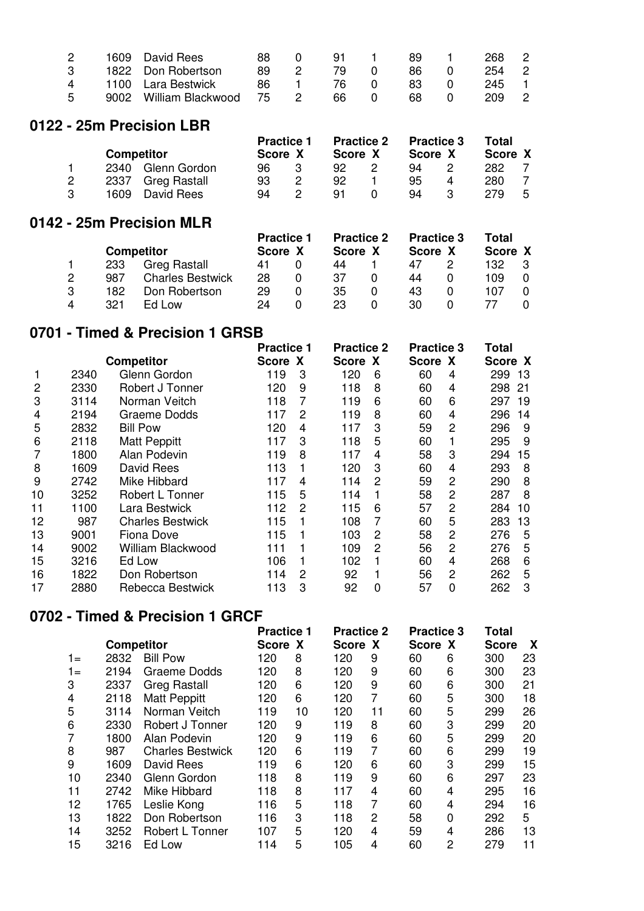|  | 1609 David Rees           | 88. |                | 91 1  |          | 89. |          | 268   | $\overline{\phantom{0}}^2$ |
|--|---------------------------|-----|----------------|-------|----------|-----|----------|-------|----------------------------|
|  | 1822 Don Robertson        | 89. |                | 79.   | $\Omega$ | 86. |          | 254 2 |                            |
|  | 1100 Lara Bestwick        | -86 |                | -76 - | $\Omega$ | 83. | $\Omega$ | 245 1 |                            |
|  | 9002 William Blackwood 75 |     | $\overline{2}$ | 66.   | $\Omega$ | 68. |          | 209   | $\overline{2}$             |

#### **0122 - 25m Precision LBR**

|  |                   |                     | <b>Practice 1</b> |   | <b>Practice 2</b> | <b>Practice 3</b> |   | Total   |   |
|--|-------------------|---------------------|-------------------|---|-------------------|-------------------|---|---------|---|
|  | <b>Competitor</b> |                     | Score X           |   | Score X           | Score X           |   | Score X |   |
|  | 2340              | Glenn Gordon        | 96                |   | 92                | 94                |   | 282     |   |
|  | 2337              | <b>Greg Rastall</b> | 93                | 2 | 92                | 95                | 4 | 280     |   |
|  | 1609              | David Rees          | 94                |   | 91                | 94                |   | 279     | 5 |

#### **0142 - 25m Precision MLR**

|   |     | <b>Competitor</b>       | <b>Practice 1</b><br>Score X | <b>Practice 2</b><br>Score X | <b>Practice 3</b><br>Score X | Total<br>Score X |   |
|---|-----|-------------------------|------------------------------|------------------------------|------------------------------|------------------|---|
|   | 233 | <b>Greg Rastall</b>     | 41                           | 44                           | 47                           | 132              | 3 |
| 2 | 987 | <b>Charles Bestwick</b> | 28                           | 37                           | 44                           | 109              |   |
| 3 | 182 | Don Robertson           | 29                           | 35                           | 43                           | 107              |   |
| Δ | 321 | Ed Low                  | 24                           | 23                           | 30                           |                  |   |

# **0701 - Timed & Precision 1 GRSB**

|                |      | <b>Competitor</b>        | <b>Practice 1</b> |                | <b>Practice 2</b> |   | <b>Practice 3</b> |                | Total   |    |
|----------------|------|--------------------------|-------------------|----------------|-------------------|---|-------------------|----------------|---------|----|
|                |      | 2340<br>Glenn Gordon     |                   | Score X        | Score X           |   | Score X           |                | Score X |    |
|                |      |                          | 119               | 3              | 120               | 6 | 60                | 4              | 299     | 13 |
| $\overline{2}$ | 2330 | Robert J Tonner          | 120               | 9              | 118               | 8 | 60                | 4              | 298     | 21 |
| 3              | 3114 | Norman Veitch            | 118               | 7              | 119               | 6 | 60                | 6              | 297     | 19 |
| 4              | 2194 | <b>Graeme Dodds</b>      | 117               | $\overline{c}$ | 119               | 8 | 60                | 4              | 296     | 14 |
| 5              | 2832 | <b>Bill Pow</b>          | 120               | 4              | 117               | 3 | 59                | 2              | 296     | 9  |
| 6              | 2118 | <b>Matt Peppitt</b>      | 117               | 3              | 118               | 5 | 60                |                | 295     | 9  |
|                | 1800 | Alan Podevin             | 119               | 8              | 117               | 4 | 58                | 3              | 294     | 15 |
| 8              | 1609 | David Rees               | 113               | 1              | 120               | 3 | 60                | 4              | 293     | 8  |
| 9              | 2742 | Mike Hibbard             | 117               | 4              | 114               | 2 | 59                | 2              | 290     | 8  |
| 10             | 3252 | Robert L Tonner          | 115               | 5              | 114               |   | 58                | $\overline{2}$ | 287     | 8  |
| 11             | 1100 | Lara Bestwick            | 112               | $\overline{c}$ | 115               | 6 | 57                | 2              | 284     | 10 |
| 12             | 987  | <b>Charles Bestwick</b>  | 115               | 1              | 108               | 7 | 60                | 5              | 283     | 13 |
| 13             | 9001 | Fiona Dove               | 115               |                | 103               | 2 | 58                | 2              | 276     | 5  |
| 14             | 9002 | <b>William Blackwood</b> | 111               |                | 109               | 2 | 56                | 2              | 276     | 5  |
| 15             | 3216 | Ed Low                   | 106               |                | 102               |   | 60                | 4              | 268     | 6  |
| 16             | 1822 | Don Robertson            | 114               | 2              | 92                |   | 56                | 2              | 262     | 5  |
| 17             | 2880 | Rebecca Bestwick         | 113               | 3              | 92                | 0 | 57                | 0              | 262     | 3  |

## **0702 - Timed & Precision 1 GRCF**

|    | <b>Competitor</b> |                         | <b>Practice 1</b> |    | <b>Practice 2</b> |                | <b>Practice 3</b> |   | <b>Total</b> |    |
|----|-------------------|-------------------------|-------------------|----|-------------------|----------------|-------------------|---|--------------|----|
|    |                   |                         | Score X           |    | Score X           |                | Score X           |   | <b>Score</b> | X  |
| 1= | 2832              | <b>Bill Pow</b>         | 120               | 8  | 120               | 9              | 60                | 6 | 300          | 23 |
| 1= | 2194              | Graeme Dodds            | 120               | 8  | 120               | 9              | 60                | 6 | 300          | 23 |
| 3  | 2337              | <b>Greg Rastall</b>     | 120               | 6  | 120               | 9              | 60                | 6 | 300          | 21 |
| 4  | 2118              | <b>Matt Peppitt</b>     | 120               | 6  | 120               | 7              | 60                | 5 | 300          | 18 |
| 5  | 3114              | Norman Veitch           | 119               | 10 | 120               | 11             | 60                | 5 | 299          | 26 |
| 6  | 2330              | Robert J Tonner         | 120               | 9  | 119               | 8              | 60                | 3 | 299          | 20 |
|    | 1800              | Alan Podevin            | 120               | 9  | 119               | 6              | 60                | 5 | 299          | 20 |
| 8  | 987               | <b>Charles Bestwick</b> | 120               | 6  | 119               | $\overline{7}$ | 60                | 6 | 299          | 19 |
| 9  | 1609              | David Rees              | 119               | 6  | 120               | 6              | 60                | 3 | 299          | 15 |
| 10 | 2340              | Glenn Gordon            | 118               | 8  | 119               | 9              | 60                | 6 | 297          | 23 |
| 11 | 2742              | Mike Hibbard            | 118               | 8  | 117               | 4              | 60                | 4 | 295          | 16 |
| 12 | 1765              | Leslie Kong             | 116               | 5  | 118               | 7              | 60                | 4 | 294          | 16 |
| 13 | 1822              | Don Robertson           | 116               | 3  | 118               | 2              | 58                | 0 | 292          | 5  |
| 14 | 3252              | Robert L Tonner         | 107               | 5  | 120               | 4              | 59                | 4 | 286          | 13 |
| 15 | 3216              | Ed Low                  | 114               | 5  | 105               | 4              | 60                | 2 | 279          | 11 |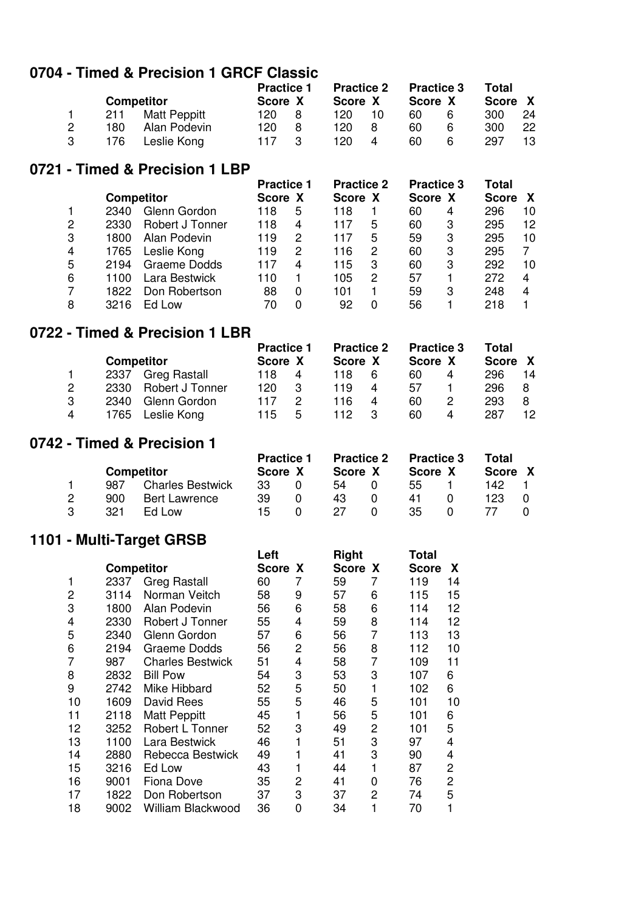## **0704 - Timed & Precision 1 GRCF Classic**

|  |                   |                     | <b>Practice 1</b> |   | <b>Practice 2</b> |    | <b>Practice 3</b> |   | Total   |    |
|--|-------------------|---------------------|-------------------|---|-------------------|----|-------------------|---|---------|----|
|  | <b>Competitor</b> |                     | Score X           |   | Score X           |    | Score X           |   | Score X |    |
|  | 211               | <b>Matt Peppitt</b> | 120               | 8 | 120               | 10 | 60                | 6 | 300     | 24 |
|  | 180               | Alan Podevin        | 120               | 8 | 120               | 8  | 60                | 6 | 300     | 22 |
|  | 176               | Leslie Kong         | 117               |   | 120               | 4  | 60                | 6 | 297     | 13 |

#### **0721 - Timed & Precision 1 LBP**

|   | <b>Competitor</b> |                 | <b>Practice 1</b> |   | <b>Practice 2</b> |   | <b>Practice 3</b> |   | Total        |    |
|---|-------------------|-----------------|-------------------|---|-------------------|---|-------------------|---|--------------|----|
|   |                   |                 | Score X           |   | Score X           |   | Score X           |   | <b>Score</b> | X  |
|   | 2340              | Glenn Gordon    | 118               | 5 | 118               |   | 60                | 4 | 296          | 10 |
| 2 | 2330              | Robert J Tonner | 118               | 4 | 117               | 5 | 60                | 3 | 295          | 12 |
| 3 | 1800              | Alan Podevin    | 119               | 2 | 117               | 5 | 59                | 3 | 295          | 10 |
| 4 | 1765              | Leslie Kong     | 119               | 2 | 116               | 2 | 60                | 3 | 295          |    |
| 5 | 2194              | Graeme Dodds    | 117               | 4 | 115               | 3 | 60                | 3 | 292          | 10 |
| 6 | 1100              | Lara Bestwick   | 110               |   | 105               | 2 | 57                |   | 272          | 4  |
|   | 1822              | Don Robertson   | 88                | 0 | 101               |   | 59                | 3 | 248          | 4  |
| 8 | 3216              | Ed Low          |                   |   | 92                | 0 | 56                |   | 218          |    |
|   |                   |                 |                   |   |                   |   |                   |   |              |    |

## **0722 - Timed & Precision 1 LBR**

|                       |                   |                        | <b>Practice 1</b> |   | <b>Practice 2</b> |   | <b>Practice 3</b> |   | Total   |    |
|-----------------------|-------------------|------------------------|-------------------|---|-------------------|---|-------------------|---|---------|----|
|                       | <b>Competitor</b> |                        | Score X           |   | Score X           |   | Score X           |   | Score X |    |
|                       | 2337              | <b>Greg Rastall</b>    | 118               | 4 | 118               | 6 | 60                | 4 | 296     | 14 |
| $\mathbf{2}^{\prime}$ | 2330              | <b>Robert J Tonner</b> | 120               | 3 | 119               | 4 | 57                |   | 296     | 8  |
| 3                     | 2340              | Glenn Gordon           | 117               |   | 116               | 4 | 60                | 2 | 293     | 8  |
| 4                     | 1765              | Leslie Kong            | 115               | 5 | 112               | 3 | 60                | 4 | 287     | 12 |

#### **0742 - Timed & Precision 1**

|  |     |                         | <b>Practice 1</b> | <b>Practice 2</b> | <b>Practice 3</b> | Total   |  |
|--|-----|-------------------------|-------------------|-------------------|-------------------|---------|--|
|  |     | <b>Competitor</b>       | Score X           | Score X           | Score X           | Score X |  |
|  | 987 | <b>Charles Bestwick</b> | 33                | 54                | 55                | 142.    |  |
|  | 900 | <b>Bert Lawrence</b>    | 39                | 43                | 41                | 123     |  |
|  | 321 | Ed Low                  | 15                | 27                | 35                |         |  |

## **1101 - Multi-Target GRSB**

| TIUT - MUITI-TARGET GROB |                   |                          |              |   |              |   |                      |  |  |  |  |  |
|--------------------------|-------------------|--------------------------|--------------|---|--------------|---|----------------------|--|--|--|--|--|
|                          |                   |                          | Left         |   | <b>Right</b> |   | Total                |  |  |  |  |  |
|                          | <b>Competitor</b> |                          | <b>Score</b> | X | Score X      |   | X<br><b>Score</b>    |  |  |  |  |  |
| 1                        | 2337              | <b>Greg Rastall</b>      | 60           | 7 | 59           | 7 | 119<br>14            |  |  |  |  |  |
| 2                        | 3114              | Norman Veitch            | 58           | 9 | 57           | 6 | 15<br>115            |  |  |  |  |  |
| 3                        | 1800              | Alan Podevin             | 56           | 6 | 58           | 6 | 12<br>114            |  |  |  |  |  |
| 4                        | 2330              | Robert J Tonner          | 55           | 4 | 59           | 8 | 12<br>114            |  |  |  |  |  |
| 5                        | 2340              | Glenn Gordon             | 57           | 6 | 56           | 7 | 13<br>113            |  |  |  |  |  |
| 6                        | 2194              | Graeme Dodds             | 56           | 2 | 56           | 8 | 10<br>112            |  |  |  |  |  |
| 7                        | 987               | <b>Charles Bestwick</b>  | 51           | 4 | 58           | 7 | 11<br>109            |  |  |  |  |  |
| 8                        | 2832              | <b>Bill Pow</b>          | 54           | 3 | 53           | 3 | 6<br>107             |  |  |  |  |  |
| 9                        | 2742              | Mike Hibbard             | 52           | 5 | 50           |   | 6<br>102             |  |  |  |  |  |
| 10                       | 1609              | David Rees               | 55           | 5 | 46           | 5 | 10<br>101            |  |  |  |  |  |
| 11                       | 2118              | <b>Matt Peppitt</b>      | 45           |   | 56           | 5 | 101<br>6             |  |  |  |  |  |
| 12                       | 3252              | Robert L Tonner          | 52           | 3 | 49           | 2 | 5<br>101             |  |  |  |  |  |
| 13                       | 1100              | Lara Bestwick            | 46           |   | 51           | 3 | 97<br>4              |  |  |  |  |  |
| 14                       | 2880              | Rebecca Bestwick         | 49           |   | 41           | 3 | 90<br>4              |  |  |  |  |  |
| 15                       | 3216              | Ed Low                   | 43           | 1 | 44           | 1 | $\overline{c}$<br>87 |  |  |  |  |  |
| 16                       | 9001              | Fiona Dove               | 35           | 2 | 41           | 0 | 2<br>76              |  |  |  |  |  |
| 17                       | 1822              | Don Robertson            | 37           | 3 | 37           | 2 | 5<br>74              |  |  |  |  |  |
| 18                       | 9002              | <b>William Blackwood</b> | 36           | 0 | 34           | 1 | 70                   |  |  |  |  |  |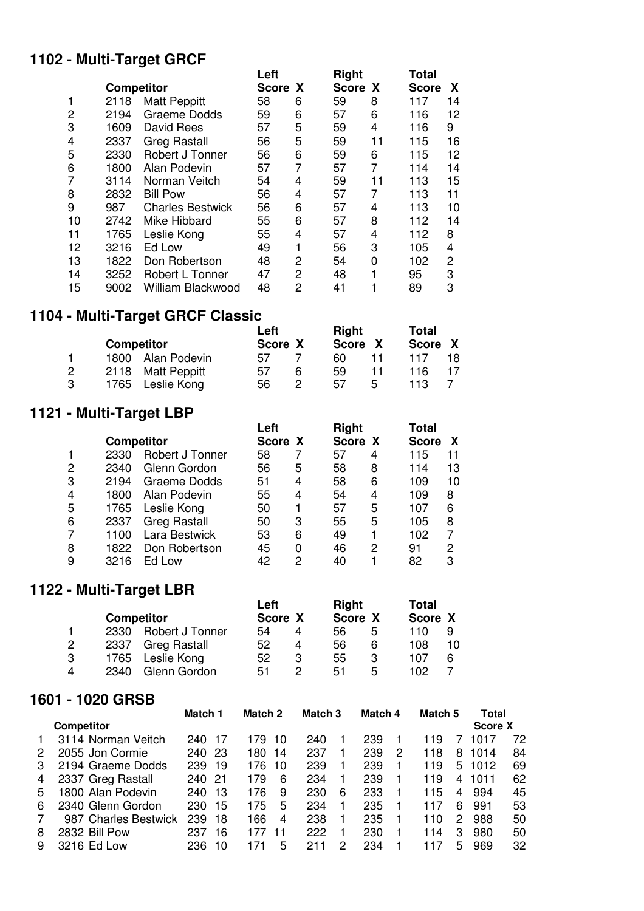# **1102 - Multi-Target GRCF**

| TIVE - MUILI-TATYCI UNUT |                   |                          |              |                |              |    |              |    |  |  |  |  |  |
|--------------------------|-------------------|--------------------------|--------------|----------------|--------------|----|--------------|----|--|--|--|--|--|
|                          |                   |                          | Left         |                | <b>Right</b> |    | Total        |    |  |  |  |  |  |
|                          | <b>Competitor</b> |                          | <b>Score</b> | X              | <b>Score</b> | X  | <b>Score</b> | X. |  |  |  |  |  |
| 1                        | 2118              | <b>Matt Peppitt</b>      | 58           | 6              | 59           | 8  | 117          | 14 |  |  |  |  |  |
| 2                        | 2194              | Graeme Dodds             | 59           | 6              | 57           | 6  | 116          | 12 |  |  |  |  |  |
| 3                        | 1609              | David Rees               | 57           | 5              | 59           | 4  | 116          | 9  |  |  |  |  |  |
| 4                        | 2337              | <b>Greg Rastall</b>      | 56           | 5              | 59           | 11 | 115          | 16 |  |  |  |  |  |
| 5                        | 2330              | Robert J Tonner          | 56           | 6              | 59           | 6  | 115          | 12 |  |  |  |  |  |
| 6                        | 1800              | Alan Podevin             | 57           | 7              | 57           | 7  | 114          | 14 |  |  |  |  |  |
| 7                        | 3114              | Norman Veitch            | 54           | 4              | 59           | 11 | 113          | 15 |  |  |  |  |  |
| 8                        | 2832              | <b>Bill Pow</b>          | 56           | 4              | 57           | 7  | 113          | 11 |  |  |  |  |  |
| 9                        | 987               | <b>Charles Bestwick</b>  | 56           | 6              | 57           | 4  | 113          | 10 |  |  |  |  |  |
| 10                       | 2742              | Mike Hibbard             | 55           | 6              | 57           | 8  | 112          | 14 |  |  |  |  |  |
| 11                       | 1765              | Leslie Kong              | 55           | 4              | 57           | 4  | 112          | 8  |  |  |  |  |  |
| 12                       | 3216              | Ed Low                   | 49           | 1              | 56           | 3  | 105          | 4  |  |  |  |  |  |
| 13                       | 1822              | Don Robertson            | 48           | 2              | 54           | 0  | 102          | 2  |  |  |  |  |  |
| 14                       | 3252              | Robert L Tonner          | 47           | $\overline{2}$ | 48           |    | 95           | 3  |  |  |  |  |  |
| 15                       | 9002              | <b>William Blackwood</b> | 48           | 2              | 41           |    | 89           | 3  |  |  |  |  |  |

# **1104 - Multi-Target GRCF Classic**

|  |                   |                   | Left    |   | <b>Right</b> |   | <b>Total</b> |  |
|--|-------------------|-------------------|---------|---|--------------|---|--------------|--|
|  | <b>Competitor</b> |                   | Score X |   | Score X      |   | Score X      |  |
|  |                   | 1800 Alan Podevin | 57      |   | 60           |   | 117          |  |
|  |                   | 2118 Matt Peppitt | 57      | 6 | 59           |   | 116          |  |
|  |                   | 1765 Leslie Kong  | 56      |   | 57           | 5 | 113          |  |

# **1121 - Multi-Target LBP**

| Total             |
|-------------------|
| <b>Score</b><br>X |
| 115<br>11         |
| 114<br>13         |
| 109<br>10         |
| 109<br>8          |
| 6<br>107          |
| 105<br>8          |
| 102               |
| 2<br>91           |
| 82<br>3           |
|                   |

# **1122 - Multi-Target LBR**

|   |      |                   | Left    |   | Right   |   | Total   |   |
|---|------|-------------------|---------|---|---------|---|---------|---|
|   |      | <b>Competitor</b> | Score X |   | Score X |   | Score X |   |
|   | 2330 | Robert J Tonner   | 54      | 4 | 56      | 5 | 110     | 9 |
| 2 | 2337 | Greg Rastall      | 52      | 4 | 56      | 6 | 108     |   |
| 3 |      | 1765 Leslie Kong  | 52      | 3 | 55      | 3 | 107     | 6 |
| 4 | 2340 | Glenn Gordon      | 51      |   | 51      | 5 | 102     |   |

#### **1601 - 1020 GRSB**

|   |                      | Match 1 |     | Match 2 |    | Match <sub>3</sub> |   | Match 4 |   | Match 5 |   | Total   |    |
|---|----------------------|---------|-----|---------|----|--------------------|---|---------|---|---------|---|---------|----|
|   | <b>Competitor</b>    |         |     |         |    |                    |   |         |   |         |   | Score X |    |
|   | 3114 Norman Veitch   | 240 17  |     | 179     | 10 | 240                |   | 239     |   | 119     |   | 1017    | 72 |
| 2 | 2055 Jon Cormie      | 240 23  |     | 180     | 14 | 237                |   | 239     | 2 | 118     | 8 | 1014    | 84 |
| З | 2194 Graeme Dodds    | 239     | -19 | 176     | 10 | 239                |   | 239     |   | 119     | 5 | 1012    | 69 |
| 4 | 2337 Greg Rastall    | 240 21  |     | 179     | 6  | 234                |   | 239     |   | 119     | 4 | 1011    | 62 |
| 5 | 1800 Alan Podevin    | 240     | 13  | 176     | 9  | 230                | 6 | 233     |   | 115     | 4 | 994     | 45 |
| 6 | 2340 Glenn Gordon    | 230     | 15  | 175     | 5  | 234                |   | 235     |   | 117     | 6 | 991     | 53 |
|   | 987 Charles Bestwick | 239     | 18  | 166     | 4  | 238                |   | 235     |   | 110     | 2 | 988     | 50 |
| 8 | 2832 Bill Pow        | 237     | 16  | 177     | 11 | 222                |   | 230     |   | 114     | 3 | 980     | 50 |
| 9 | 3216 Ed Low          | 236     | 10  | 171     | 5  | 211                | 2 | 234     |   | 117     | 5 | 969     | 32 |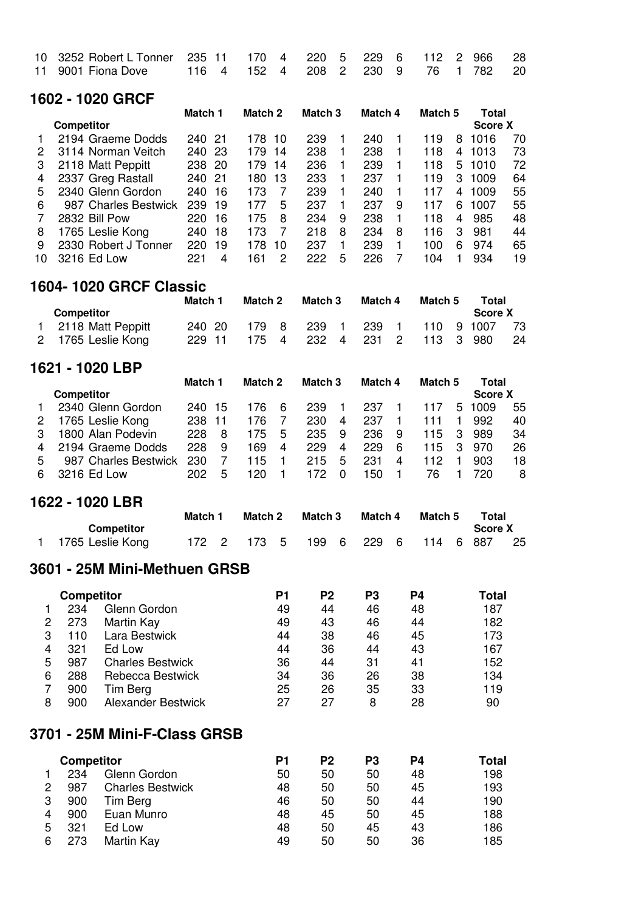| 10 3252 Robert L Tonner 235 11 170 4 220 5 229 6 112 2 966 28 |  |  |  |  |  |  |
|---------------------------------------------------------------|--|--|--|--|--|--|
|                                                               |  |  |  |  |  |  |

#### **1602 - 1020 GRCF**

|    |                      | Match 1    | Match 2 |    | Match <sub>3</sub> |   | Match 4 |   | Match 5 |                | Total   |    |
|----|----------------------|------------|---------|----|--------------------|---|---------|---|---------|----------------|---------|----|
|    | <b>Competitor</b>    |            |         |    |                    |   |         |   |         |                | Score X |    |
|    | 2194 Graeme Dodds    | 240 21     | 178.    | 10 | 239                |   | 240     |   | 119     | 8              | 1016    | 70 |
| 2  | 3114 Norman Veitch   | 240 23     | 179     | 14 | 238                |   | 238     |   | 118     | 4              | 1013    | 73 |
| 3  | 2118 Matt Peppitt    | -20<br>238 | 179     | 14 | 236                |   | 239     |   | 118     | 5              | 1010    | 72 |
| 4  | 2337 Greg Rastall    | 240 21     | 180     | 13 | 233                |   | 237     |   | 119     | 3              | 1009    | 64 |
| 5  | 2340 Glenn Gordon    | 240<br>-16 | 173     |    | 239                |   | 240     |   | 117     | 4              | 1009    | 55 |
| 6  | 987 Charles Bestwick | 239<br>19  | 177     | 5  | 237                |   | 237     | 9 | 117     | 6              | 1007    | 55 |
|    | 2832 Bill Pow        | 220.<br>16 | 175     | 8  | 234                | 9 | 238     |   | 118     | $\overline{4}$ | 985     | 48 |
| 8  | 1765 Leslie Kong     | 240<br>18  | 173     |    | 218                | 8 | 234     | 8 | 116     | 3              | 981     | 44 |
| 9  | 2330 Robert J Tonner | 220<br>19  | 178     | 10 | 237                |   | 239     |   | 100     | 6              | 974     | 65 |
| 10 | 3216 Ed Low          | 221<br>4   | 161     | 2  | 222                | 5 | 226     |   | 104     |                | 934     | 19 |

#### **1604- 1020 GRCF Classic**

|                     | Match 1 | Match 2 | Match 3 |             | Match 4 |           | Match 5 | Total         |     |
|---------------------|---------|---------|---------|-------------|---------|-----------|---------|---------------|-----|
| Competitor          |         |         |         |             |         |           |         | Score X       |     |
| 1 2118 Matt Peppitt | 240 20  | 179 8   | 239 1   | -239        |         |           |         | 110 9 1007 73 |     |
| 2 1765 Leslie Kong  | 229 11  | 175 4   |         | 232 4 231 2 |         | 113 3 980 |         |               | -24 |

#### **1621 - 1020 LBP**

|   |                      |        | Match 1 | Match 2 |   |     | Match 4<br>Match <sub>3</sub> |      |   | Match 5       |     | Total   |    |
|---|----------------------|--------|---------|---------|---|-----|-------------------------------|------|---|---------------|-----|---------|----|
|   | Competitor           |        |         |         |   |     |                               |      |   |               |     | Score X |    |
|   | 2340 Glenn Gordon    | 240 15 |         | 176     | 6 | 239 |                               | 237  |   | 117           | 5   | 1009    | 55 |
|   | 1765 Leslie Kong     | 238    | 11      | 176.    |   | 230 | 4                             | 237  |   | 111           |     | 992     | 40 |
|   | 1800 Alan Podevin    | 228    | 8       | 175     | 5 | 235 | 9                             | 236  | 9 | $115 \quad 3$ |     | 989     | 34 |
| 4 | 2194 Graeme Dodds    | 228    | 9       | 169     | 4 | 229 | 4                             | 229  | 6 | 115           | - 3 | 970     | 26 |
| 5 | 987 Charles Bestwick | 230    |         | 115     |   | 215 | 5                             | 231  | 4 | 112           |     | 903     | 18 |
| 6 | 3216 Ed Low          | 202.   | 5       | 120.    |   | 172 |                               | 150. |   | 76            |     | 720     | 8  |
|   |                      |        |         |         |   |     |                               |      |   |               |     |         |    |

#### **1622 - 1020 LBR**

|                    |  | Match 1 |  | Match 3<br>Match 2 |                                   | Match 4 |  | Match 5 |  | Total   |      |
|--------------------|--|---------|--|--------------------|-----------------------------------|---------|--|---------|--|---------|------|
| <b>Competitor</b>  |  |         |  |                    |                                   |         |  |         |  | Score X |      |
| 1 1765 Leslie Kong |  |         |  |                    | 172 2 173 5 199 6 229 6 114 6 887 |         |  |         |  |         | - 25 |

### **3601 - 25M Mini-Methuen GRSB**

|   | <b>Competitor</b> |                           | P1 | P <sub>2</sub> | P3 | P4 | <b>Total</b> |
|---|-------------------|---------------------------|----|----------------|----|----|--------------|
|   | 234               | Glenn Gordon              | 49 | 44             | 46 | 48 | 187          |
| 2 | 273               | Martin Kay                | 49 | 43             | 46 | 44 | 182          |
| 3 | 110               | Lara Bestwick             | 44 | 38             | 46 | 45 | 173          |
| 4 | 321               | Ed Low                    | 44 | 36             | 44 | 43 | 167          |
| 5 | 987               | <b>Charles Bestwick</b>   | 36 | 44             | 31 | 41 | 152          |
| 6 | 288               | Rebecca Bestwick          | 34 | 36             | 26 | 38 | 134          |
|   | 900               | Tim Berg                  | 25 | 26             | 35 | 33 | 119          |
| 8 | 900               | <b>Alexander Bestwick</b> | 27 | 27             | 8  | 28 | 90           |

#### **3701 - 25M Mini-F-Class GRSB**

|   | <b>Competitor</b> |                         | P1 | P2 | P3 | P4 | Total |
|---|-------------------|-------------------------|----|----|----|----|-------|
|   | 234               | Glenn Gordon            | 50 | 50 | 50 | 48 | 198   |
| 2 | 987               | <b>Charles Bestwick</b> | 48 | 50 | 50 | 45 | 193   |
| 3 | 900               | Tim Berg                | 46 | 50 | 50 | 44 | 190   |
| 4 | 900               | Euan Munro              | 48 | 45 | 50 | 45 | 188   |
| 5 | 321               | Ed Low                  | 48 | 50 | 45 | 43 | 186   |
| 6 | 273               | Martin Kay              | 49 | 50 | 50 | 36 | 185   |